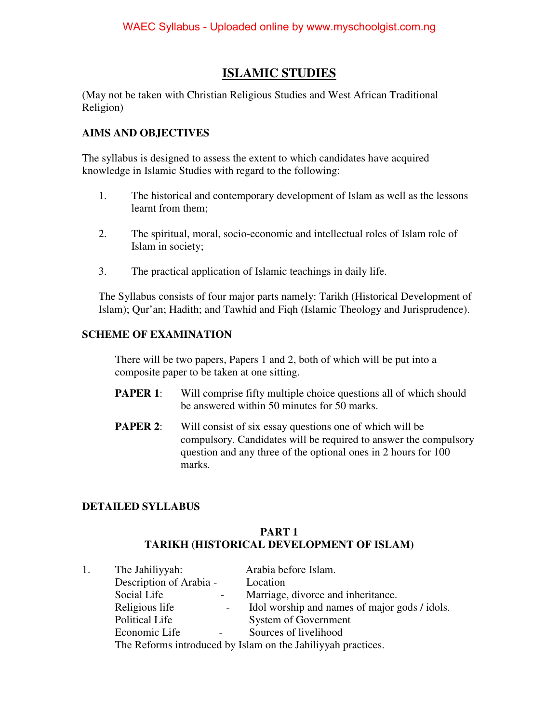# **ISLAMIC STUDIES**

(May not be taken with Christian Religious Studies and West African Traditional Religion)

## **AIMS AND OBJECTIVES**

The syllabus is designed to assess the extent to which candidates have acquired knowledge in Islamic Studies with regard to the following:

- 1. The historical and contemporary development of Islam as well as the lessons learnt from them;
- 2. The spiritual, moral, socio-economic and intellectual roles of Islam role of Islam in society;
- 3. The practical application of Islamic teachings in daily life.

The Syllabus consists of four major parts namely: Tarikh (Historical Development of Islam); Qur'an; Hadith; and Tawhid and Fiqh (Islamic Theology and Jurisprudence).

## **SCHEME OF EXAMINATION**

There will be two papers, Papers 1 and 2, both of which will be put into a composite paper to be taken at one sitting.

- **PAPER 1:** Will comprise fifty multiple choice questions all of which should be answered within 50 minutes for 50 marks.
- **PAPER 2:** Will consist of six essay questions one of which will be compulsory. Candidates will be required to answer the compulsory question and any three of the optional ones in 2 hours for 100 marks.

## **DETAILED SYLLABUS**

### **PART 1 TARIKH (HISTORICAL DEVELOPMENT OF ISLAM)**

| 1. | The Jahiliyyah:                                              | Arabia before Islam.                          |  |
|----|--------------------------------------------------------------|-----------------------------------------------|--|
|    | Description of Arabia -                                      | Location                                      |  |
|    | Social Life                                                  | Marriage, divorce and inheritance.            |  |
|    | Religious life<br>$\sim$                                     | Idol worship and names of major gods / idols. |  |
|    | <b>Political Life</b>                                        | System of Government                          |  |
|    | Economic Life                                                | Sources of livelihood                         |  |
|    | The Reforms introduced by Islam on the Jahiliyyah practices. |                                               |  |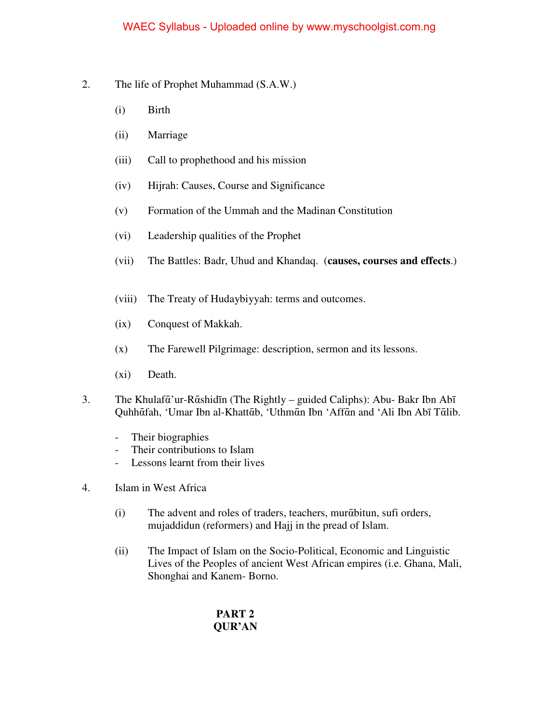- 2. The life of Prophet Muhammad (S.A.W.)
	- (i) Birth
	- (ii) Marriage
	- (iii) Call to prophethood and his mission
	- (iv) Hijrah: Causes, Course and Significance
	- (v) Formation of the Ummah and the Madinan Constitution
	- (vi) Leadership qualities of the Prophet
	- (vii) The Battles: Badr, Uhud and Khandaq. (**causes, courses and effects**.)
	- (viii) The Treaty of Hudaybiyyah: terms and outcomes.
	- (ix) Conquest of Makkah.
	- (x) The Farewell Pilgrimage: description, sermon and its lessons.
	- (xi) Death.
- 3. The Khulafᾱ'ur-Rᾱshidīn (The Rightly guided Caliphs): Abu- Bakr Ibn Abī Quhhᾱfah, 'Umar Ibn al-Khattᾱb, 'Uthmᾱn Ibn 'Affᾱn and 'Ali Ibn Abī Tᾱlib.
	- Their biographies
	- Their contributions to Islam
	- Lessons learnt from their lives
- 4. Islam in West Africa
	- (i) The advent and roles of traders, teachers, murᾱbitun, sufi orders, mujaddidun (reformers) and Hajj in the pread of Islam.
	- (ii) The Impact of Islam on the Socio-Political, Economic and Linguistic Lives of the Peoples of ancient West African empires (i.e. Ghana, Mali, Shonghai and Kanem- Borno.

# **PART 2 QUR'AN**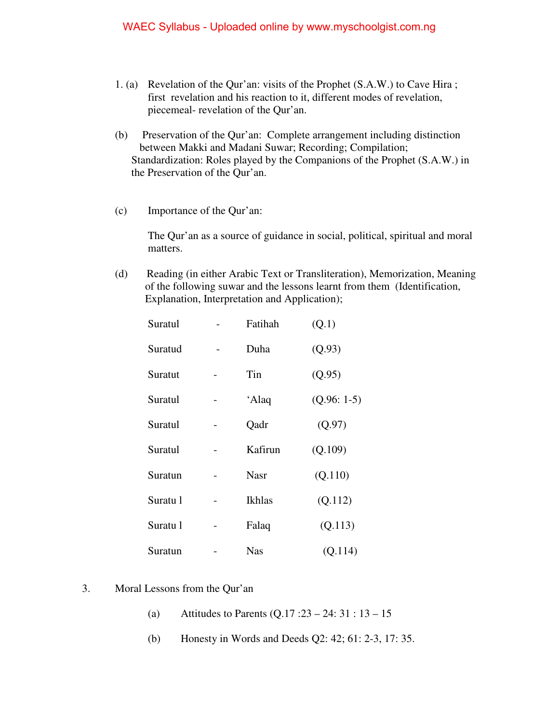- 1. (a) Revelation of the Qur'an: visits of the Prophet (S.A.W.) to Cave Hira ; first revelation and his reaction to it, different modes of revelation, piecemeal- revelation of the Qur'an.
- (b) Preservation of the Qur'an: Complete arrangement including distinction between Makki and Madani Suwar; Recording; Compilation; Standardization: Roles played by the Companions of the Prophet (S.A.W.) in the Preservation of the Qur'an.
- (c) Importance of the Qur'an:

The Qur'an as a source of guidance in social, political, spiritual and moral matters.

(d) Reading (in either Arabic Text or Transliteration), Memorization, Meaning of the following suwar and the lessons learnt from them (Identification, Explanation, Interpretation and Application);

| Suratul  | Fatihah       | (Q.1)        |
|----------|---------------|--------------|
| Suratud  | Duha          | (Q.93)       |
| Suratut  | Tin           | (Q.95)       |
| Suratul  | 'Alaq         | $(Q.96:1-5)$ |
| Suratul  | Qadr          | (Q.97)       |
| Suratul  | Kafirun       | (Q.109)      |
| Suratun  | <b>Nasr</b>   | (Q.110)      |
| Suratu 1 | <b>Ikhlas</b> | (Q.112)      |
| Suratu 1 | Falaq         | (Q.113)      |
| Suratun  | <b>Nas</b>    | (Q.114)      |

#### 3. Moral Lessons from the Qur'an

- (a) Attitudes to Parents (Q.17 :23 24: 31 : 13 15
- (b) Honesty in Words and Deeds Q2: 42; 61: 2-3, 17: 35.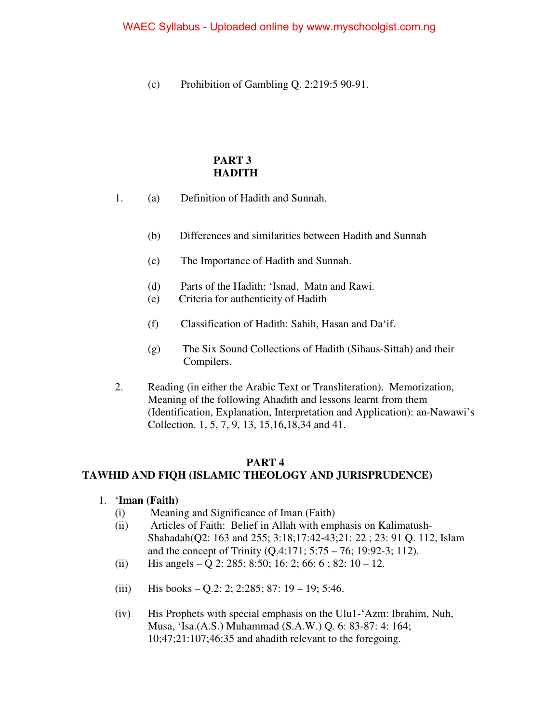(c) Prohibition of Gambling Q. 2:219:5 90-91.

## **PART 3 HADITH**

- 1. (a) Definition of Hadith and Sunnah.
	- (b) Differences and similarities between Hadith and Sunnah
	- (c) The Importance of Hadith and Sunnah.
	- (d) Parts of the Hadith: 'Isnad, Matn and Rawi.
	- (e) Criteria for authenticity of Hadith
	- (f) Classification of Hadith: Sahih, Hasan and Da'if.
	- (g) The Six Sound Collections of Hadith (Sihaus-Sittah) and their Compilers.
- 2. Reading (in either the Arabic Text or Transliteration). Memorization, Meaning of the following Ahadith and lessons learnt from them (Identification, Explanation, Interpretation and Application): an-Nawawi's Collection. 1, 5, 7, 9, 13, 15,16,18,34 and 41.

## **PART 4**

## **TAWHID AND FIQH (ISLAMIC THEOLOGY AND JURISPRUDENCE)**

- 1. '**Iman (Faith)**
	- (i) Meaning and Significance of Iman (Faith)
	- (ii) Articles of Faith: Belief in Allah with emphasis on Kalimatush-Shahadah(Q2: 163 and 255; 3:18;17:42-43;21: 22 ; 23: 91 Q. 112, Islam and the concept of Trinity (Q.4:171; 5:75 – 76; 19:92-3; 112).
	- (ii) His angels Q 2: 285; 8:50; 16: 2; 66: 6; 82: 10 12.
	- (iii) His books Q.2: 2; 2:285; 87:  $19 19$ ; 5:46.
	- (iv) His Prophets with special emphasis on the Ulu1-'Azm: Ibrahim, Nuh, Musa, 'Isa.(A.S.) Muhammad (S.A.W.) Q. 6: 83-87: 4: 164; 10;47;21:107;46:35 and ahadith relevant to the foregoing.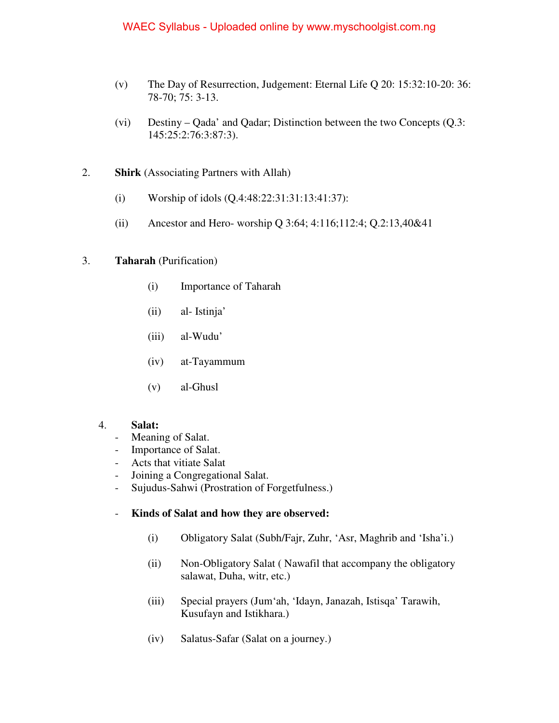### WAEC Syllabus - Uploaded online by www.myschoolgist.com.ng

- (v) The Day of Resurrection, Judgement: Eternal Life Q 20: 15:32:10-20: 36: 78-70; 75: 3-13.
- (vi) Destiny Qada' and Qadar; Distinction between the two Concepts (Q.3: 145:25:2:76:3:87:3).
- 2. **Shirk** (Associating Partners with Allah)
	- (i) Worship of idols (Q.4:48:22:31:31:13:41:37):
	- (ii) Ancestor and Hero- worship Q 3:64; 4:116;112:4; Q.2:13,40&41

#### 3. **Taharah** (Purification)

- (i) Importance of Taharah
- (ii) al- Istinja'
- (iii) al-Wudu'
- (iv) at-Tayammum
- (v) al-Ghusl

#### 4. **Salat:**

- Meaning of Salat.
- Importance of Salat.
- Acts that vitiate Salat
- Joining a Congregational Salat.
- Sujudus-Sahwi (Prostration of Forgetfulness.)

#### - **Kinds of Salat and how they are observed:**

- (i) Obligatory Salat (Subh/Fajr, Zuhr, 'Asr, Maghrib and 'Isha'i.)
- (ii) Non-Obligatory Salat ( Nawafil that accompany the obligatory salawat, Duha, witr, etc.)
- (iii) Special prayers (Jum'ah, 'Idayn, Janazah, Istisqa' Tarawih, Kusufayn and Istikhara.)
- (iv) Salatus-Safar (Salat on a journey.)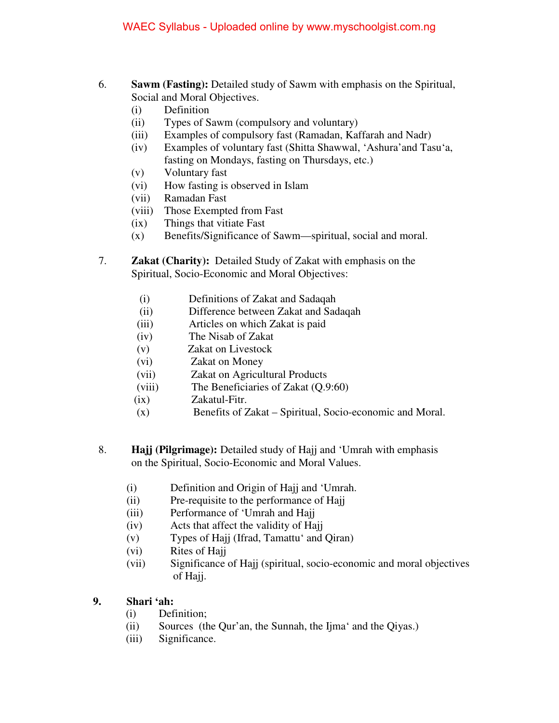- 6. **Sawm (Fasting):** Detailed study of Sawm with emphasis on the Spiritual, Social and Moral Objectives.
	- (i) Definition
	- (ii) Types of Sawm (compulsory and voluntary)
	- (iii) Examples of compulsory fast (Ramadan, Kaffarah and Nadr)
	- (iv) Examples of voluntary fast (Shitta Shawwal, 'Ashura'and Tasu'a, fasting on Mondays, fasting on Thursdays, etc.)
	- (v) Voluntary fast
	- (vi) How fasting is observed in Islam
	- (vii) Ramadan Fast
	- (viii) Those Exempted from Fast
	- (ix) Things that vitiate Fast
	- (x) Benefits/Significance of Sawm—spiritual, social and moral.
- 7. **Zakat (Charity):** Detailed Study of Zakat with emphasis on the Spiritual, Socio-Economic and Moral Objectives:
	- (i) Definitions of Zakat and Sadaqah
	- (ii) Difference between Zakat and Sadaqah
	- (iii) Articles on which Zakat is paid
	- (iv) The Nisab of Zakat
	- (v) Zakat on Livestock
	- (vi) Zakat on Money
	- (vii) Zakat on Agricultural Products
	- (viii) The Beneficiaries of Zakat (Q.9:60)
	- (ix) Zakatul-Fitr.
	- (x) Benefits of Zakat Spiritual, Socio-economic and Moral.
- 8. **Hajj (Pilgrimage):** Detailed study of Hajj and 'Umrah with emphasis on the Spiritual, Socio-Economic and Moral Values.
	- (i) Definition and Origin of Hajj and 'Umrah.
	- (ii) Pre-requisite to the performance of Hajj
	- (iii) Performance of 'Umrah and Hajj
	- (iv) Acts that affect the validity of Hajj
	- (v) Types of Hajj (Ifrad, Tamattu' and Qiran)
	- (vi) Rites of Hajj
	- (vii) Significance of Hajj (spiritual, socio-economic and moral objectives of Hajj.
- **9. Shari 'ah:** 
	- (i) Definition;
	- (ii) Sources (the Qur'an, the Sunnah, the Ijma' and the Qiyas.)
	- (iii) Significance.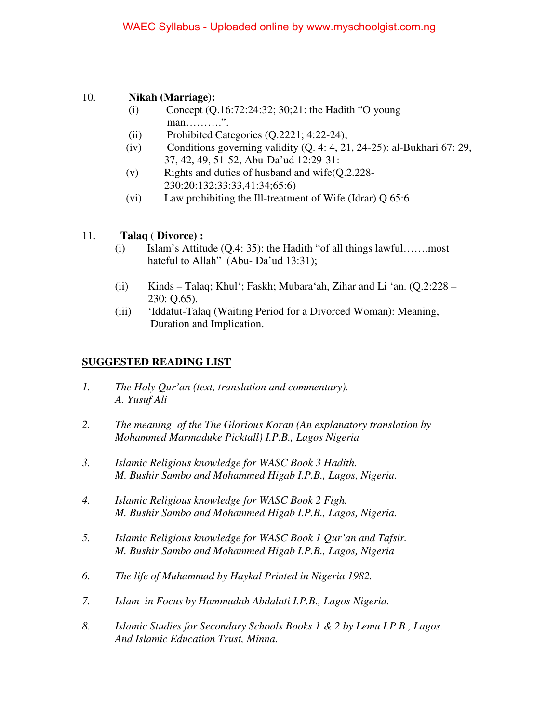## 10. **Nikah (Marriage):**

- (i) Concept (Q.16:72:24:32; 30;21: the Hadith "O young man……….<sup>"</sup>.
- (ii) Prohibited Categories (Q.2221; 4:22-24);
- (iv) Conditions governing validity  $(Q, 4: 4, 21, 24-25)$ : al-Bukhari 67: 29, 37, 42, 49, 51-52, Abu-Da'ud 12:29-31:
- (v) Rights and duties of husband and wife(Q.2.228- 230:20:132;33:33,41:34;65:6)
- (vi) Law prohibiting the Ill-treatment of Wife (Idrar) Q 65:6

## 11. **Talaq** ( **Divorce) :**

- (i) Islam's Attitude  $(Q.4: 35)$ : the Hadith "of all things lawful........most hateful to Allah" (Abu- Da'ud 13:31);
- (ii) Kinds Talaq; Khul'; Faskh; Mubara'ah, Zihar and Li 'an. (Q.2:228 230: Q.65).
- (iii) 'Iddatut-Talaq (Waiting Period for a Divorced Woman): Meaning, Duration and Implication.

## **SUGGESTED READING LIST**

- *1. The Holy Qur'an (text, translation and commentary). A. Yusuf Ali*
- *2. The meaning of the The Glorious Koran (An explanatory translation by Mohammed Marmaduke Picktall) I.P.B., Lagos Nigeria*
- *3. Islamic Religious knowledge for WASC Book 3 Hadith. M. Bushir Sambo and Mohammed Higab I.P.B., Lagos, Nigeria.*
- *4. Islamic Religious knowledge for WASC Book 2 Figh. M. Bushir Sambo and Mohammed Higab I.P.B., Lagos, Nigeria.*
- *5. Islamic Religious knowledge for WASC Book 1 Qur'an and Tafsir. M. Bushir Sambo and Mohammed Higab I.P.B., Lagos, Nigeria*
- *6. The life of Muhammad by Haykal Printed in Nigeria 1982.*
- *7. Islam in Focus by Hammudah Abdalati I.P.B., Lagos Nigeria.*
- *8. Islamic Studies for Secondary Schools Books 1 & 2 by Lemu I.P.B., Lagos. And Islamic Education Trust, Minna.*